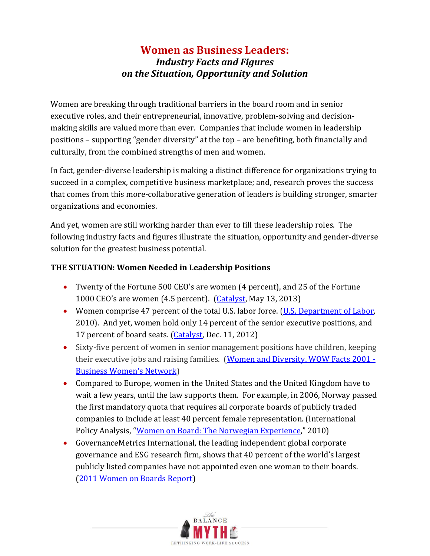## **Women as Business Leaders:**  *Industry Facts and Figures on the Situation, Opportunity and Solution*

Women are breaking through traditional barriers in the board room and in senior executive roles, and their entrepreneurial, innovative, problem-solving and decisionmaking skills are valued more than ever. Companies that include women in leadership positions – supporting "gender diversity" at the top – are benefiting, both financially and culturally, from the combined strengths of men and women.

In fact, gender-diverse leadership is making a distinct difference for organizations trying to succeed in a complex, competitive business marketplace; and, research proves the success that comes from this more-collaborative generation of leaders is building stronger, smarter organizations and economies.

And yet, women are still working harder than ever to fill these leadership roles. The following industry facts and figures illustrate the situation, opportunity and gender-diverse solution for the greatest business potential.

## **THE SITUATION: Women Needed in Leadership Positions**

- Twenty of the Fortune 500 CEO's are women (4 percent), and 25 of the Fortune 1000 CEO's are women (4.5 percent). [\(Catalyst,](http://www.catalyst.org/knowledge/women-ceos-fortune-1000) May 13, 2013)
- Women comprise 47 percent of the total U.S. labor force. [\(U.S. Department of Labor,](http://www.dol.gov/wb/factsheets/Qf-laborforce-10.htm) 2010). And yet, women hold only 14 percent of the senior executive positions, and 17 percent of board seats. [\(Catalyst,](http://www.catalyst.org/knowledge/2012-catalyst-census-fortune-500-women-board-directors) Dec. 11, 2012)
- Sixty-five percent of women in senior management positions have children, keeping their executive jobs and raising families. [\(Women and Diversity, WOW Facts 2001 -](http://stopharass.com/article-women-marketplace.htm) [Business Women's Network\)](http://stopharass.com/article-women-marketplace.htm)
- Compared to Europe, women in the United States and the United Kingdom have to wait a few years, until the law supports them. For example, in 2006, Norway passed the first mandatory quota that requires all corporate boards of publicly traded companies to include at least 40 percent female representation. (International Policy Analysis, "[Women on Board: The Norwegian Experience](http://library.fes.de/pdf-files/id/ipa/07309.pdf)," 2010)
- GovernanceMetrics International, the leading independent global corporate governance and ESG research firm, shows that 40 percent of the world's largest publicly listed companies have not appointed even one woman to their boards. [\(2011 Women on Boards Report\)](http://www.womenmovingmillions.org/how-we-do-it/resources/)